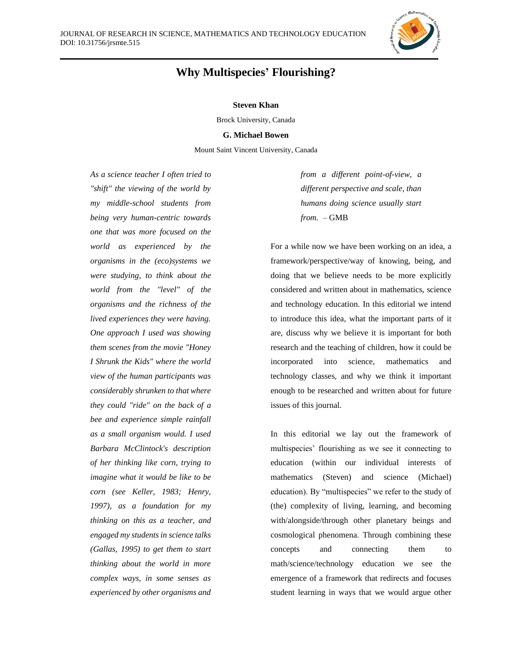

# **Why Multispecies' Flourishing?**

#### **Steven Khan**

Brock University, Canada

#### **G. Michael Bowen**

Mount Saint Vincent University, Canada

*As a science teacher I often tried to "shift" the viewing of the world by my middle-school students from being very human-centric towards one that was more focused on the world as experienced by the organisms in the (eco)systems we were studying, to think about the world from the "level" of the organisms and the richness of the lived experiences they were having. One approach I used was showing them scenes from the movie "Honey I Shrunk the Kids" where the world view of the human participants was considerably shrunken to that where they could "ride" on the back of a bee and experience simple rainfall as a small organism would. I used Barbara McClintock's description of her thinking like corn, trying to imagine what it would be like to be corn (see Keller, 1983; Henry, 1997), as a foundation for my thinking on this as a teacher, and engaged my students in science talks (Gallas, 1995) to get them to start thinking about the world in more complex ways, in some senses as experienced by other organisms and* 

*from a different point-of-view, a different perspective and scale, than humans doing science usually start from.* – GMB

For a while now we have been working on an idea, a framework/perspective/way of knowing, being, and doing that we believe needs to be more explicitly considered and written about in mathematics, science and technology education. In this editorial we intend to introduce this idea, what the important parts of it are, discuss why we believe it is important for both research and the teaching of children, how it could be incorporated into science, mathematics and technology classes, and why we think it important enough to be researched and written about for future issues of this journal.

In this editorial we lay out the framework of multispecies' flourishing as we see it connecting to education (within our individual interests of mathematics (Steven) and science (Michael) education). By "multispecies" we refer to the study of (the) complexity of living, learning, and becoming with/alongside/through other planetary beings and cosmological phenomena. Through combining these concepts and connecting them to math/science/technology education we see the emergence of a framework that redirects and focuses student learning in ways that we would argue other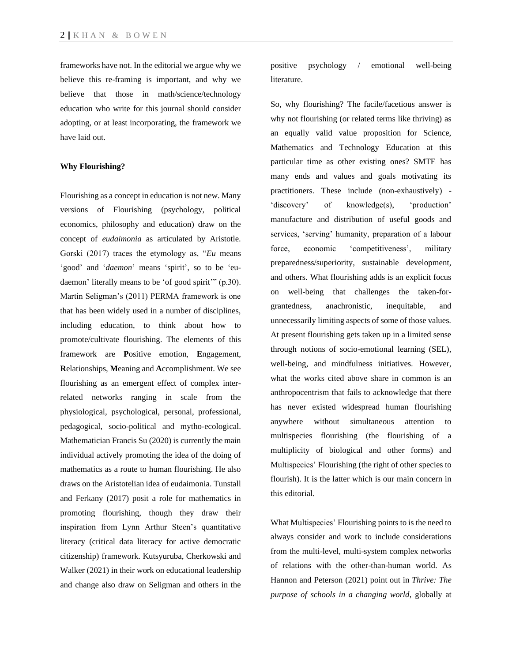frameworks have not. In the editorial we argue why we believe this re-framing is important, and why we believe that those in math/science/technology education who write for this journal should consider adopting, or at least incorporating, the framework we have laid out.

## **Why Flourishing?**

Flourishing as a concept in education is not new. Many versions of Flourishing (psychology, political economics, philosophy and education) draw on the concept of *eudaimonia* as articulated by Aristotle. Gorski (2017) traces the etymology as, "*Eu* means 'good' and '*daemon*' means 'spirit', so to be 'eudaemon' literally means to be 'of good spirit'" (p.30). Martin Seligman's (2011) PERMA framework is one that has been widely used in a number of disciplines, including education, to think about how to promote/cultivate flourishing. The elements of this framework are **P**ositive emotion, **E**ngagement, **R**elationships, **M**eaning and **A**ccomplishment. We see flourishing as an emergent effect of complex interrelated networks ranging in scale from the physiological, psychological, personal, professional, pedagogical, socio-political and mytho-ecological. Mathematician Francis Su (2020) is currently the main individual actively promoting the idea of the doing of mathematics as a route to human flourishing. He also draws on the Aristotelian idea of eudaimonia. Tunstall and Ferkany (2017) posit a role for mathematics in promoting flourishing, though they draw their inspiration from Lynn Arthur Steen's quantitative literacy (critical data literacy for active democratic citizenship) framework. Kutsyuruba, Cherkowski and Walker (2021) in their work on educational leadership and change also draw on Seligman and others in the

positive psychology / emotional well-being literature.

So, why flourishing? The facile/facetious answer is why not flourishing (or related terms like thriving) as an equally valid value proposition for Science, Mathematics and Technology Education at this particular time as other existing ones? SMTE has many ends and values and goals motivating its practitioners. These include (non-exhaustively) - 'discovery' of knowledge(s), 'production' manufacture and distribution of useful goods and services, 'serving' humanity, preparation of a labour force, economic 'competitiveness', military preparedness/superiority, sustainable development, and others. What flourishing adds is an explicit focus on well-being that challenges the taken-forgrantedness, anachronistic, inequitable, and unnecessarily limiting aspects of some of those values. At present flourishing gets taken up in a limited sense through notions of socio-emotional learning (SEL), well-being, and mindfulness initiatives. However, what the works cited above share in common is an anthropocentrism that fails to acknowledge that there has never existed widespread human flourishing anywhere without simultaneous attention to multispecies flourishing (the flourishing of a multiplicity of biological and other forms) and Multispecies' Flourishing (the right of other species to flourish). It is the latter which is our main concern in this editorial.

What Multispecies' Flourishing points to is the need to always consider and work to include considerations from the multi-level, multi-system complex networks of relations with the other-than-human world. As Hannon and Peterson (2021) point out in *Thrive: The purpose of schools in a changing world*, globally at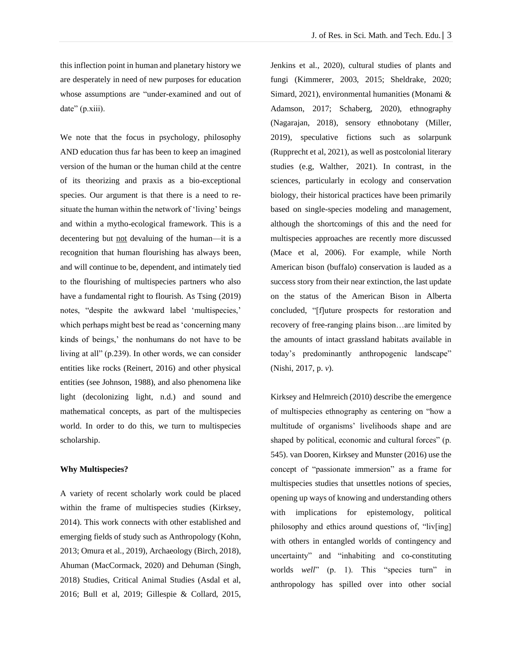this inflection point in human and planetary history we are desperately in need of new purposes for education whose assumptions are "under-examined and out of date" (p.xiii).

We note that the focus in psychology, philosophy AND education thus far has been to keep an imagined version of the human or the human child at the centre of its theorizing and praxis as a bio-exceptional species. Our argument is that there is a need to resituate the human within the network of 'living' beings and within a mytho-ecological framework. This is a decentering but not devaluing of the human—it is a recognition that human flourishing has always been, and will continue to be, dependent, and intimately tied to the flourishing of multispecies partners who also have a fundamental right to flourish. As Tsing (2019) notes, "despite the awkward label 'multispecies,' which perhaps might best be read as 'concerning many kinds of beings,' the nonhumans do not have to be living at all" (p.239). In other words, we can consider entities like rocks (Reinert, 2016) and other physical entities (see Johnson, 1988), and also phenomena like light (decolonizing light, n.d.) and sound and mathematical concepts, as part of the multispecies world. In order to do this, we turn to multispecies scholarship.

## **Why Multispecies?**

A variety of recent scholarly work could be placed within the frame of multispecies studies (Kirksey, 2014). This work connects with other established and emerging fields of study such as Anthropology (Kohn, 2013; Omura et al., 2019), Archaeology (Birch, 2018), Ahuman (MacCormack, 2020) and Dehuman (Singh, 2018) Studies, Critical Animal Studies (Asdal et al, 2016; Bull et al, 2019; Gillespie & Collard, 2015, Jenkins et al., 2020), cultural studies of plants and fungi (Kimmerer, 2003, 2015; Sheldrake, 2020; Simard, 2021), environmental humanities (Monami & Adamson, 2017; Schaberg, 2020), ethnography (Nagarajan, 2018), sensory ethnobotany (Miller, 2019), speculative fictions such as solarpunk (Rupprecht et al, 2021), as well as postcolonial literary studies (e.g, Walther, 2021). In contrast, in the sciences, particularly in ecology and conservation biology, their historical practices have been primarily based on single-species modeling and management, although the shortcomings of this and the need for multispecies approaches are recently more discussed (Mace et al, 2006). For example, while North American bison (buffalo) conservation is lauded as a success story from their near extinction, the last update on the status of the American Bison in Alberta concluded, "[f]uture prospects for restoration and recovery of free-ranging plains bison…are limited by the amounts of intact grassland habitats available in today's predominantly anthropogenic landscape" (Nishi, 2017, p. *v*).

Kirksey and Helmreich (2010) describe the emergence of multispecies ethnography as centering on "how a multitude of organisms' livelihoods shape and are shaped by political, economic and cultural forces" (p. 545). van Dooren, Kirksey and Munster (2016) use the concept of "passionate immersion" as a frame for multispecies studies that unsettles notions of species, opening up ways of knowing and understanding others with implications for epistemology, political philosophy and ethics around questions of, "liv[ing] with others in entangled worlds of contingency and uncertainty" and "inhabiting and co-constituting worlds *well*" (p. 1). This "species turn" in anthropology has spilled over into other social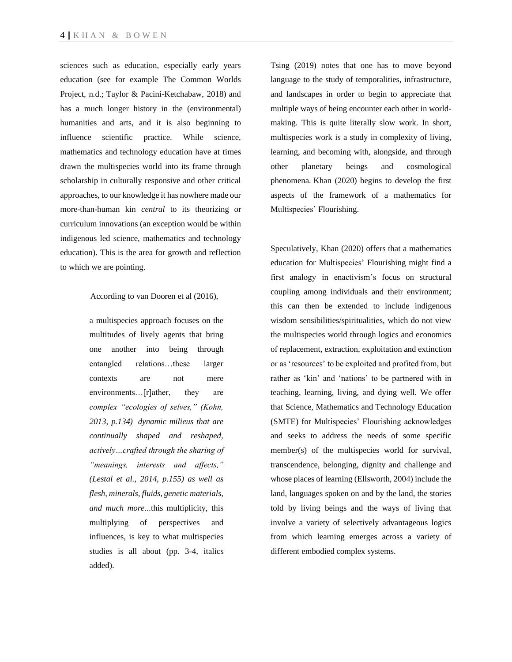sciences such as education, especially early years education (see for example The Common Worlds Project, n.d.; Taylor & Pacini-Ketchabaw, 2018) and has a much longer history in the (environmental) humanities and arts, and it is also beginning to influence scientific practice. While science, mathematics and technology education have at times drawn the multispecies world into its frame through scholarship in culturally responsive and other critical approaches, to our knowledge it has nowhere made our more-than-human kin *central* to its theorizing or curriculum innovations (an exception would be within indigenous led science, mathematics and technology education). This is the area for growth and reflection to which we are pointing.

According to van Dooren et al (2016),

a multispecies approach focuses on the multitudes of lively agents that bring one another into being through entangled relations…these larger contexts are not mere environments…[r]ather, they are *complex "ecologies of selves," (Kohn, 2013, p.134) dynamic milieus that are continually shaped and reshaped, actively…crafted through the sharing of "meanings, interests and affects," (Lestal et al., 2014, p.155) as well as flesh, minerals, fluids, genetic materials, and much more*...this multiplicity, this multiplying of perspectives and influences, is key to what multispecies studies is all about (pp. 3-4, italics added).

Tsing (2019) notes that one has to move beyond language to the study of temporalities, infrastructure, and landscapes in order to begin to appreciate that multiple ways of being encounter each other in worldmaking. This is quite literally slow work. In short, multispecies work is a study in complexity of living, learning, and becoming with, alongside, and through other planetary beings and cosmological phenomena. Khan (2020) begins to develop the first aspects of the framework of a mathematics for Multispecies' Flourishing.

Speculatively, Khan (2020) offers that a mathematics education for Multispecies' Flourishing might find a first analogy in enactivism's focus on structural coupling among individuals and their environment; this can then be extended to include indigenous wisdom sensibilities/spiritualities, which do not view the multispecies world through logics and economics of replacement, extraction, exploitation and extinction or as 'resources' to be exploited and profited from, but rather as 'kin' and 'nations' to be partnered with in teaching, learning, living, and dying well. We offer that Science, Mathematics and Technology Education (SMTE) for Multispecies' Flourishing acknowledges and seeks to address the needs of some specific member(s) of the multispecies world for survival, transcendence, belonging, dignity and challenge and whose places of learning (Ellsworth, 2004) include the land, languages spoken on and by the land, the stories told by living beings and the ways of living that involve a variety of selectively advantageous logics from which learning emerges across a variety of different embodied complex systems.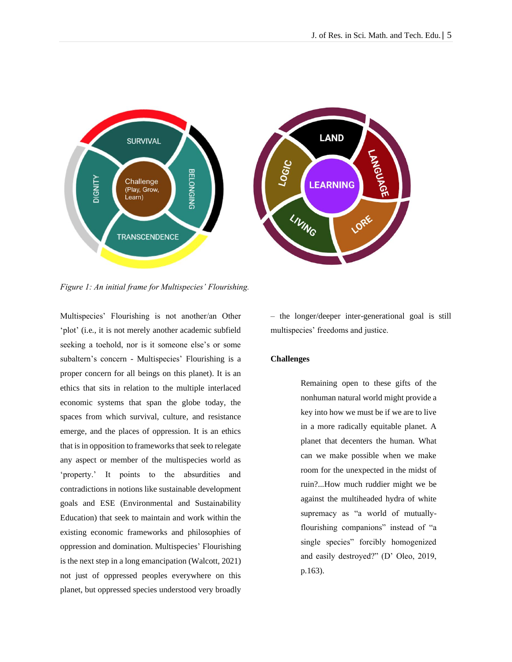

*Figure 1: An initial frame for Multispecies' Flourishing.*

Multispecies' Flourishing is not another/an Other 'plot' (i.e., it is not merely another academic subfield seeking a toehold, nor is it someone else's or some subaltern's concern - Multispecies' Flourishing is a proper concern for all beings on this planet). It is an ethics that sits in relation to the multiple interlaced economic systems that span the globe today, the spaces from which survival, culture, and resistance emerge, and the places of oppression. It is an ethics that is in opposition to frameworks that seek to relegate any aspect or member of the multispecies world as 'property.' It points to the absurdities and contradictions in notions like sustainable development goals and ESE (Environmental and Sustainability Education) that seek to maintain and work within the existing economic frameworks and philosophies of oppression and domination. Multispecies' Flourishing is the next step in a long emancipation (Walcott, 2021) not just of oppressed peoples everywhere on this planet, but oppressed species understood very broadly

– the longer/deeper inter-generational goal is still multispecies' freedoms and justice.

## **Challenges**

Remaining open to these gifts of the nonhuman natural world might provide a key into how we must be if we are to live in a more radically equitable planet. A planet that decenters the human. What can we make possible when we make room for the unexpected in the midst of ruin?...How much ruddier might we be against the multiheaded hydra of white supremacy as "a world of mutuallyflourishing companions" instead of "a single species" forcibly homogenized and easily destroyed?" (D' Oleo, 2019, p.163).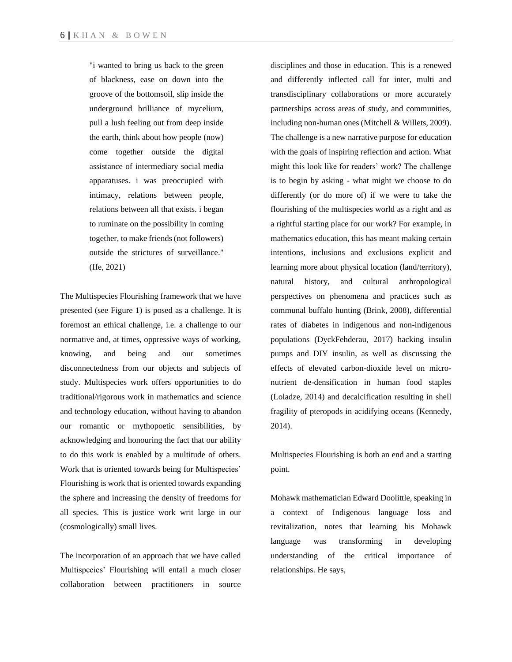"i wanted to bring us back to the green of blackness, ease on down into the groove of the bottomsoil, slip inside the underground brilliance of mycelium, pull a lush feeling out from deep inside the earth, think about how people (now) come together outside the digital assistance of intermediary social media apparatuses. i was preoccupied with intimacy, relations between people, relations between all that exists. i began to ruminate on the possibility in coming together, to make friends (not followers) outside the strictures of surveillance." (Ife, 2021)

The Multispecies Flourishing framework that we have presented (see Figure 1) is posed as a challenge. It is foremost an ethical challenge, i.e. a challenge to our normative and, at times, oppressive ways of working, knowing, and being and our sometimes disconnectedness from our objects and subjects of study. Multispecies work offers opportunities to do traditional/rigorous work in mathematics and science and technology education, without having to abandon our romantic or mythopoetic sensibilities, by acknowledging and honouring the fact that our ability to do this work is enabled by a multitude of others. Work that is oriented towards being for Multispecies' Flourishing is work that is oriented towards expanding the sphere and increasing the density of freedoms for all species. This is justice work writ large in our (cosmologically) small lives.

The incorporation of an approach that we have called Multispecies' Flourishing will entail a much closer collaboration between practitioners in source disciplines and those in education. This is a renewed and differently inflected call for inter, multi and transdisciplinary collaborations or more accurately partnerships across areas of study, and communities, including non-human ones (Mitchell & Willets, 2009). The challenge is a new narrative purpose for education with the goals of inspiring reflection and action. What might this look like for readers' work? The challenge is to begin by asking - what might we choose to do differently (or do more of) if we were to take the flourishing of the multispecies world as a right and as a rightful starting place for our work? For example, in mathematics education, this has meant making certain intentions, inclusions and exclusions explicit and learning more about physical location (land/territory), natural history, and cultural anthropological perspectives on phenomena and practices such as communal buffalo hunting (Brink, 2008), differential rates of diabetes in indigenous and non-indigenous populations (DyckFehderau, 2017) hacking insulin pumps and DIY insulin, as well as discussing the effects of elevated carbon-dioxide level on micronutrient de-densification in human food staples (Loladze, 2014) and decalcification resulting in shell fragility of pteropods in acidifying oceans (Kennedy, 2014).

Multispecies Flourishing is both an end and a starting point.

Mohawk mathematician Edward Doolittle, speaking in a context of Indigenous language loss and revitalization, notes that learning his Mohawk language was transforming in developing understanding of the critical importance of relationships. He says,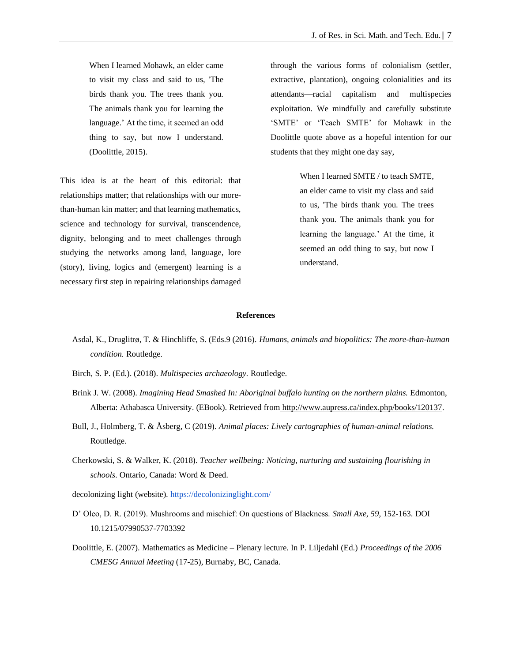When I learned Mohawk, an elder came to visit my class and said to us, 'The birds thank you. The trees thank you. The animals thank you for learning the language.' At the time, it seemed an odd thing to say, but now I understand. (Doolittle, 2015).

This idea is at the heart of this editorial: that relationships matter; that relationships with our morethan-human kin matter; and that learning mathematics, science and technology for survival, transcendence, dignity, belonging and to meet challenges through studying the networks among land, language, lore (story), living, logics and (emergent) learning is a necessary first step in repairing relationships damaged

through the various forms of colonialism (settler, extractive, plantation), ongoing colonialities and its attendants—racial capitalism and multispecies exploitation. We mindfully and carefully substitute 'SMTE' or 'Teach SMTE' for Mohawk in the Doolittle quote above as a hopeful intention for our students that they might one day say,

> When I learned SMTE / to teach SMTE, an elder came to visit my class and said to us, 'The birds thank you. The trees thank you. The animals thank you for learning the language.' At the time, it seemed an odd thing to say, but now I understand.

#### **References**

- Asdal, K., Druglitrø, T. & Hinchliffe, S. (Eds.9 (2016). *Humans, animals and biopolitics: The more-than-human condition.* Routledge.
- Birch, S. P. (Ed.). (2018). *Multispecies archaeology.* Routledge.
- Brink J. W. (2008). *Imagining Head Smashed In: Aboriginal buffalo hunting on the northern plains.* Edmonton, Alberta: Athabasca University. (EBook). Retrieved from [http://www.aupress.ca/index.php/books/120137.](http://www.aupress.ca/index.php/books/120137)
- Bull, J., Holmberg, T. & Åsberg, C (2019). *Animal places: Lively cartographies of human-animal relations.* Routledge.
- Cherkowski, S. & Walker, K. (2018). *Teacher wellbeing: Noticing, nurturing and sustaining flourishing in schools*. Ontario, Canada: Word & Deed.
- decolonizing light (website). <https://decolonizinglight.com/>
- D' Oleo, D. R. (2019). Mushrooms and mischief: On questions of Blackness. *Small Axe, 59*, 152-163. DOI 10.1215/07990537-7703392
- Doolittle, E. (2007). Mathematics as Medicine Plenary lecture. In P. Liljedahl (Ed.) *Proceedings of the 2006 CMESG Annual Meeting* (17-25), Burnaby, BC, Canada.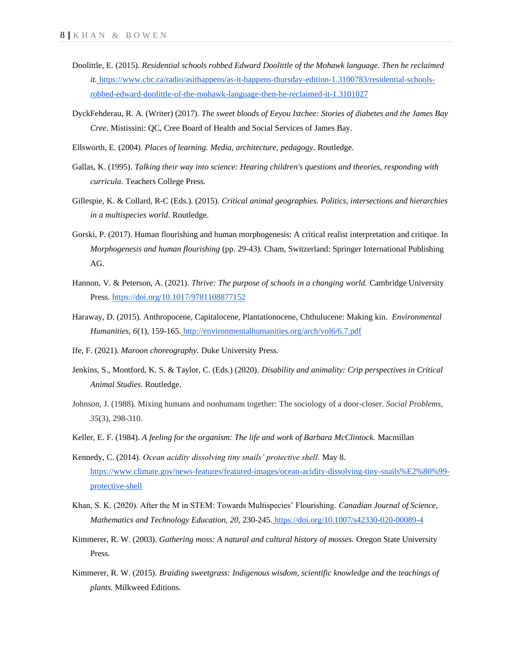- Doolittle, E. (2015). *Residential schools robbed Edward Doolittle of the Mohawk language. Then he reclaimed it.* [https://www.cbc.ca/radio/asithappens/as-it-happens-thursday-edition-1.3100783/residential-schools](https://www.cbc.ca/radio/asithappens/as-it-happens-thursday-edition-1.3100783/residential-schools-robbed-edward-doolittle-of-the-mohawk-language-then-he-reclaimed-it-1.3101027)[robbed-edward-doolittle-of-the-mohawk-language-then-he-reclaimed-it-1.3101027](https://www.cbc.ca/radio/asithappens/as-it-happens-thursday-edition-1.3100783/residential-schools-robbed-edward-doolittle-of-the-mohawk-language-then-he-reclaimed-it-1.3101027)
- DyckFehderau, R. A. (Writer) (2017). *The sweet bloods of Eeyou Istchee: Stories of diabetes and the James Bay Cree*. Mistissini: QC, Cree Board of Health and Social Services of James Bay.
- Ellsworth, E. (2004). *Places of learning. Media, architecture, pedagogy*. Routledge.
- Gallas, K. (1995). *Talking their way into science: Hearing children's questions and theories, responding with curricula.* Teachers College Press.
- Gillespie, K. & Collard, R-C (Eds.). (2015). *Critical animal geographies. Politics, intersections and hierarchies in a multispecies world*. Routledge.
- Gorski, P. (2017). Human flourishing and human morphogenesis: A critical realist interpretation and critique. In *Morphogenesis and human flourishing* (pp. 29-43). Cham, Switzerland: Springer International Publishing AG.
- Hannon, V. & Peterson, A. (2021). *Thrive: The purpose of schools in a changing world.* Cambridge University Press.<https://doi.org/10.1017/9781108877152>
- Haraway, D. (2015). Anthropocene, Capitalocene, Plantationocene, Chthulucene: Making kin. *Environmental Humanities, 6*(1), 159-165. <http://environmentalhumanities.org/arch/vol6/6.7.pdf>
- Ife, F. (2021). *Maroon choreography*. Duke University Press.
- Jenkins, S., Montford, K. S. & Taylor, C. (Eds.) (2020). *Disability and animality: Crip perspectives in Critical Animal Studies.* Routledge.
- Johnson, J. (1988). Mixing humans and nonhumans together: The sociology of a door-closer. *Social Problems*, *35*(3), 298-310.
- Keller, E. F. (1984). *A feeling for the organism: The life and work of Barbara McClintock.* Macmillan
- Kennedy, C. (2014). *Ocean acidity dissolving tiny snails' protective shell.* May 8. [https://www.climate.gov/news-features/featured-images/ocean-acidity-dissolving-tiny-snails%E2%80%99](https://www.climate.gov/news-features/featured-images/ocean-acidity-dissolving-tiny-snails%E2%80%99-protective-shell) [protective-shell](https://www.climate.gov/news-features/featured-images/ocean-acidity-dissolving-tiny-snails%E2%80%99-protective-shell)
- Khan, S. K. (2020). After the M in STEM: Towards Multispecies' Flourishing. *Canadian Journal of Science, Mathematics and Technology Education, 20*, 230-245. <https://doi.org/10.1007/s42330-020-00089-4>
- Kimmerer, R. W. (2003). *Gathering moss: A natural and cultural history of mosses.* Oregon State University Press.
- Kimmerer, R. W. (2015). *Braiding sweetgrass: Indigenous wisdom, scientific knowledge and the teachings of plants.* Milkweed Editions.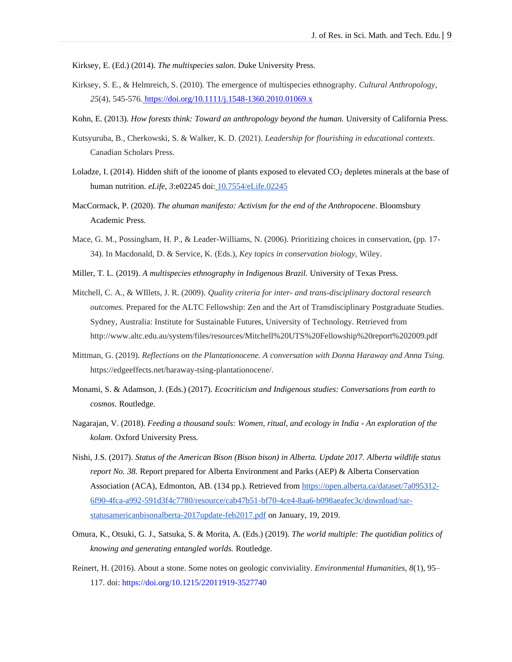Kirksey, E. (Ed.) (2014). *The multispecies salon*. Duke University Press.

- Kirksey, S. E., & Helmreich, S. (2010). The emergence of multispecies ethnography. *Cultural Anthropology*, *25*(4), 545-576. <https://doi.org/10.1111/j.1548-1360.2010.01069.x>
- Kohn, E. (2013). *How forests think: Toward an anthropology beyond the human.* University of California Press.
- Kutsyuruba, B., Cherkowski, S. & Walker, K. D. (2021). *Leadership for flourishing in educational contexts*. Canadian Scholars Press.
- Loladze, I. (2014). Hidden shift of the ionome of plants exposed to elevated  $CO<sub>2</sub>$  depletes minerals at the base of human nutrition. *eLife, 3*:e02245 doi: [10.7554/eLife.02245](https://doi.org/10.7554/eLife.02245)
- MacCormack, P. (2020). *The ahuman manifesto: Activism for the end of the Anthropocene*. Bloomsbury Academic Press.
- Mace, G. M., Possingham, H. P., & Leader-Williams, N. (2006). Prioritizing choices in conservation, (pp. 17- 34). In Macdonald, D. & Service, K. (Eds.), *Key topics in conservation biology*, Wiley.
- Miller, T. L. (2019). *A multispecies ethnography in Indigenous Brazil.* University of Texas Press.
- Mitchell, C. A., & WIllets, J. R. (2009). *Quality criteria for inter- and trans-disciplinary doctoral research outcomes.* Prepared for the ALTC Fellowship: Zen and the Art of Transdisciplinary Postgraduate Studies. Sydney, Australia: Institute for Sustainable Futures, University of Technology. Retrieved from http://www.altc.edu.au/system/files/resources/Mitchell%20UTS%20Fellowship%20report%202009.pdf
- Mittman, G. (2019). *Reflections on the Plantationocene. A conversation with Donna Haraway and Anna Tsing.* https://edgeeffects.net/haraway-tsing-plantationocene/.
- Monami, S. & Adamson, J. (Eds.) (2017). *Ecocriticism and Indigenous studies: Conversations from earth to cosmos*. Routledge.
- Nagarajan, V. (2018). *Feeding a thousand souls: Women, ritual, and ecology in India - An exploration of the kolam*. Oxford University Press.
- Nishi, J.S. (2017). *Status of the American Bison (Bison bison) in Alberta. Update 2017. Alberta wildlife status report No. 38.* Report prepared for Alberta Environment and Parks (AEP) & Alberta Conservation Association (ACA), Edmonton, AB. (134 pp.). Retrieved from [https://open.alberta.ca/dataset/7a095312-](https://open.alberta.ca/dataset/7a095312-6f90-4fca-a992-591d3f4c7780/resource/cab47b51-bf70-4ce4-8aa6-b098aeafec3c/download/sar-statusamericanbisonalberta-2017update-feb2017.pdf) [6f90-4fca-a992-591d3f4c7780/resource/cab47b51-bf70-4ce4-8aa6-b098aeafec3c/download/sar](https://open.alberta.ca/dataset/7a095312-6f90-4fca-a992-591d3f4c7780/resource/cab47b51-bf70-4ce4-8aa6-b098aeafec3c/download/sar-statusamericanbisonalberta-2017update-feb2017.pdf)[statusamericanbisonalberta-2017update-feb2017.pdf](https://open.alberta.ca/dataset/7a095312-6f90-4fca-a992-591d3f4c7780/resource/cab47b51-bf70-4ce4-8aa6-b098aeafec3c/download/sar-statusamericanbisonalberta-2017update-feb2017.pdf) on January, 19, 2019.
- Omura, K., Otsuki, G. J., Satsuka, S. & Morita, A. (Eds.) (2019). *The world multiple: The quotidian politics of knowing and generating entangled worlds.* Routledge.
- Reinert, H. (2016). About a stone. Some notes on geologic conviviality. *Environmental Humanities, 8*(1), 95– 117. doi: https://doi.org/10.1215/22011919-3527740